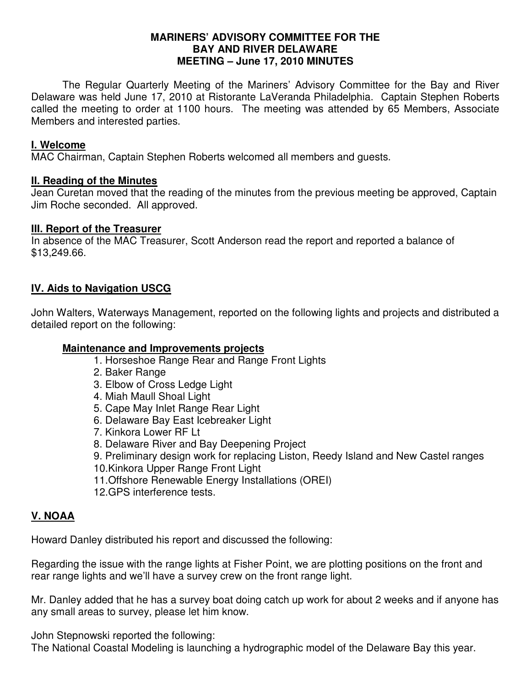### **MARINERS' ADVISORY COMMITTEE FOR THE BAY AND RIVER DELAWARE MEETING – June 17, 2010 MINUTES**

 The Regular Quarterly Meeting of the Mariners' Advisory Committee for the Bay and River Delaware was held June 17, 2010 at Ristorante LaVeranda Philadelphia. Captain Stephen Roberts called the meeting to order at 1100 hours. The meeting was attended by 65 Members, Associate Members and interested parties.

### **I. Welcome**

MAC Chairman, Captain Stephen Roberts welcomed all members and guests.

### **II. Reading of the Minutes**

Jean Curetan moved that the reading of the minutes from the previous meeting be approved, Captain Jim Roche seconded. All approved.

### **III. Report of the Treasurer**

In absence of the MAC Treasurer, Scott Anderson read the report and reported a balance of \$13,249.66.

# **IV. Aids to Navigation USCG**

John Walters, Waterways Management, reported on the following lights and projects and distributed a detailed report on the following:

### **Maintenance and Improvements projects**

- 1. Horseshoe Range Rear and Range Front Lights
- 2. Baker Range
- 3. Elbow of Cross Ledge Light
- 4. Miah Maull Shoal Light
- 5. Cape May Inlet Range Rear Light
- 6. Delaware Bay East Icebreaker Light
- 7. Kinkora Lower RF Lt
- 8. Delaware River and Bay Deepening Project
- 9. Preliminary design work for replacing Liston, Reedy Island and New Castel ranges
- 10.Kinkora Upper Range Front Light
- 11.Offshore Renewable Energy Installations (OREI)
- 12.GPS interference tests.

## **V. NOAA**

Howard Danley distributed his report and discussed the following:

Regarding the issue with the range lights at Fisher Point, we are plotting positions on the front and rear range lights and we'll have a survey crew on the front range light.

Mr. Danley added that he has a survey boat doing catch up work for about 2 weeks and if anyone has any small areas to survey, please let him know.

John Stepnowski reported the following:

The National Coastal Modeling is launching a hydrographic model of the Delaware Bay this year.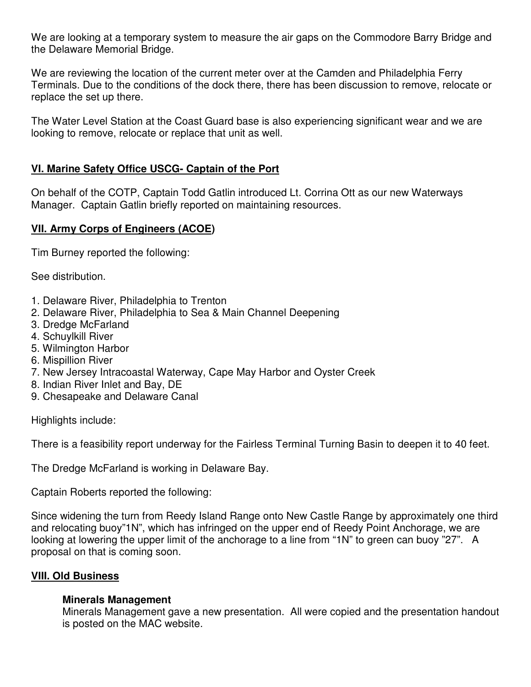We are looking at a temporary system to measure the air gaps on the Commodore Barry Bridge and the Delaware Memorial Bridge.

We are reviewing the location of the current meter over at the Camden and Philadelphia Ferry Terminals. Due to the conditions of the dock there, there has been discussion to remove, relocate or replace the set up there.

The Water Level Station at the Coast Guard base is also experiencing significant wear and we are looking to remove, relocate or replace that unit as well.

# **VI. Marine Safety Office USCG- Captain of the Port**

On behalf of the COTP, Captain Todd Gatlin introduced Lt. Corrina Ott as our new Waterways Manager. Captain Gatlin briefly reported on maintaining resources.

# **VII. Army Corps of Engineers (ACOE)**

Tim Burney reported the following:

See distribution.

- 1. Delaware River, Philadelphia to Trenton
- 2. Delaware River, Philadelphia to Sea & Main Channel Deepening
- 3. Dredge McFarland
- 4. Schuylkill River
- 5. Wilmington Harbor
- 6. Mispillion River
- 7. New Jersey Intracoastal Waterway, Cape May Harbor and Oyster Creek
- 8. Indian River Inlet and Bay, DE
- 9. Chesapeake and Delaware Canal

Highlights include:

There is a feasibility report underway for the Fairless Terminal Turning Basin to deepen it to 40 feet.

The Dredge McFarland is working in Delaware Bay.

Captain Roberts reported the following:

Since widening the turn from Reedy Island Range onto New Castle Range by approximately one third and relocating buoy"1N", which has infringed on the upper end of Reedy Point Anchorage, we are looking at lowering the upper limit of the anchorage to a line from "1N" to green can buoy "27". A proposal on that is coming soon.

## **VIII. Old Business**

## **Minerals Management**

Minerals Management gave a new presentation. All were copied and the presentation handout is posted on the MAC website.